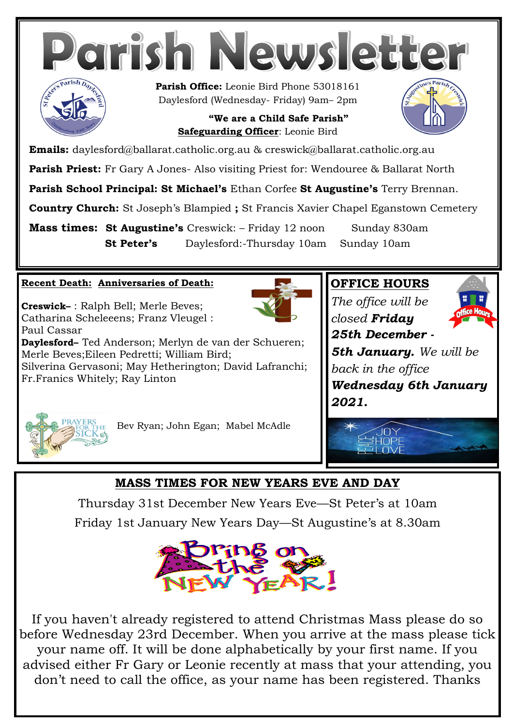

**Country Church:** St Joseph's Blampied **;** St Francis Xavier Chapel Eganstown Cemetery

**Mass times: St Augustine's** Creswick: – Friday 12 noon Sunday 830am **St Peter's** Daylesford:-Thursday 10am Sunday 10am

#### **Recent Death: Anniversaries of Death:**

**Creswick–** : Ralph Bell; Merle Beves; Catharina Scheleeens; Franz Vleugel : Paul Cassar



**Daylesford–** Ted Anderson; Merlyn de van der Schueren; Merle Beves;Eileen Pedretti; William Bird; Silverina Gervasoni; May Hetherington; David Lafranchi; Fr.Franics Whitely; Ray Linton

#### **OFFICE HOURS**

*The office will be closed Friday 25th December -*



*5th January. We will be back in the office Wednesday 6th January 2021.* 



Bev Ryan; John Egan; Mabel McAdle

#### **MASS TIMES FOR NEW YEARS EVE AND DAY**

Thursday 31st December New Years Eve—St Peter's at 10am Friday 1st January New Years Day—St Augustine's at 8.30am



If you haven't already registered to attend Christmas Mass please do so before Wednesday 23rd December. When you arrive at the mass please tick your name off. It will be done alphabetically by your first name. If you advised either Fr Gary or Leonie recently at mass that your attending, you don't need to call the office, as your name has been registered. Thanks